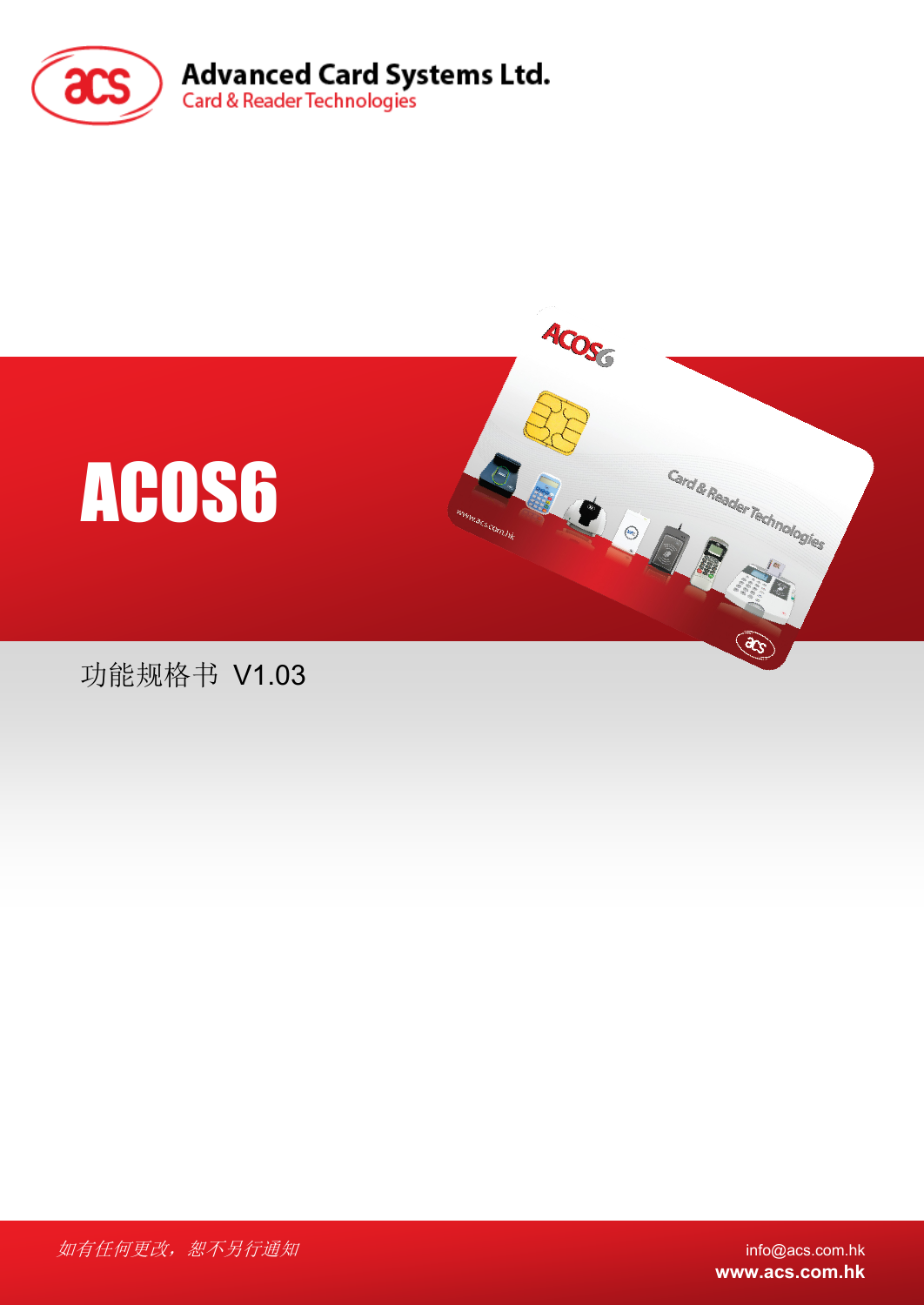



功能规格书 V1.03

如有任何更改, 恕不另行通知 info@acs.com.hk

**www.acs.com.hk**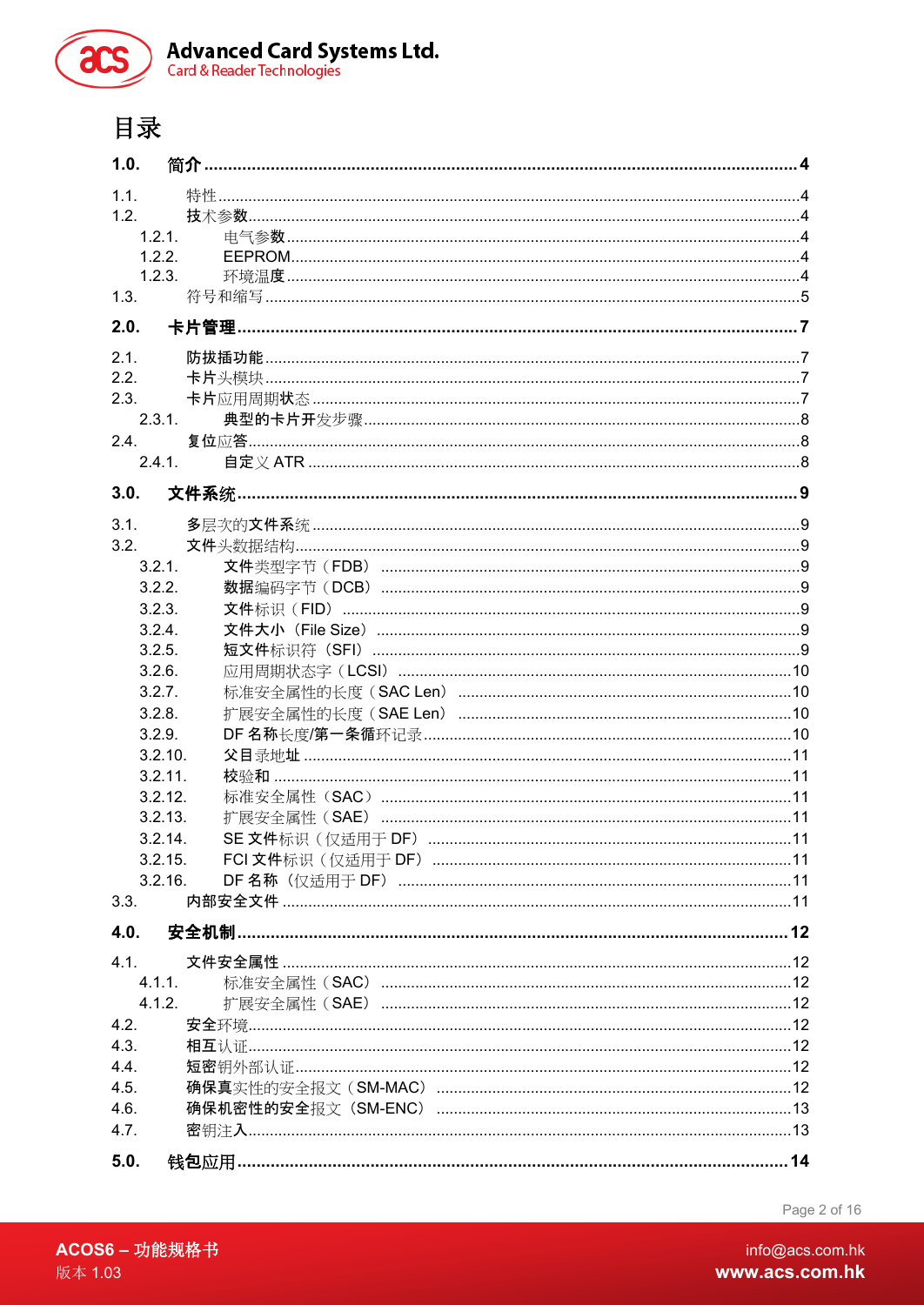

Advanced Card Systems Ltd.<br>Card & Reader Technologies

# 目录

| 1.0.    | 简介                                               |  |
|---------|--------------------------------------------------|--|
| 1.1.    |                                                  |  |
| 1.2.    |                                                  |  |
| 1.2.1.  |                                                  |  |
| 1.2.2.  |                                                  |  |
| 1.2.3.  |                                                  |  |
| 1.3.    |                                                  |  |
| 2.0.    | 卡片管理                                             |  |
| 2.1.    |                                                  |  |
| 2.2.    |                                                  |  |
| 2.3.    |                                                  |  |
| 2.3.1.  |                                                  |  |
| 2.4.    |                                                  |  |
| 2.4.1.  |                                                  |  |
|         |                                                  |  |
| 3.0.    |                                                  |  |
| 3.1.    |                                                  |  |
| 3.2.    |                                                  |  |
| 3.2.1.  | 文件类型字节(FDB) …………………………………………………………………………………………9  |  |
| 3.2.2.  |                                                  |  |
| 3.2.3.  |                                                  |  |
| 3.2.4.  |                                                  |  |
| 3.2.5.  |                                                  |  |
| 3.2.6.  |                                                  |  |
| 3.2.7.  |                                                  |  |
| 3.2.8.  |                                                  |  |
| 3.2.9.  |                                                  |  |
| 3.2.10. |                                                  |  |
| 3.2.11. |                                                  |  |
| 3.2.12. |                                                  |  |
| 3.2.13. |                                                  |  |
| 3.2.14. |                                                  |  |
| 3.2.15. |                                                  |  |
| 3.2.16. |                                                  |  |
| 3.3.    |                                                  |  |
| 4.0.    |                                                  |  |
| 4.1.    |                                                  |  |
| 4.1.1.  | 标准安全属性 (SAC) ………………………………………………………………………………………12 |  |
| 4.1.2.  |                                                  |  |
| 4.2.    |                                                  |  |
| 4.3.    |                                                  |  |
| 4.4.    |                                                  |  |
| 4.5.    |                                                  |  |
| 4.6.    |                                                  |  |
| 4.7.    |                                                  |  |
| 5.0.    |                                                  |  |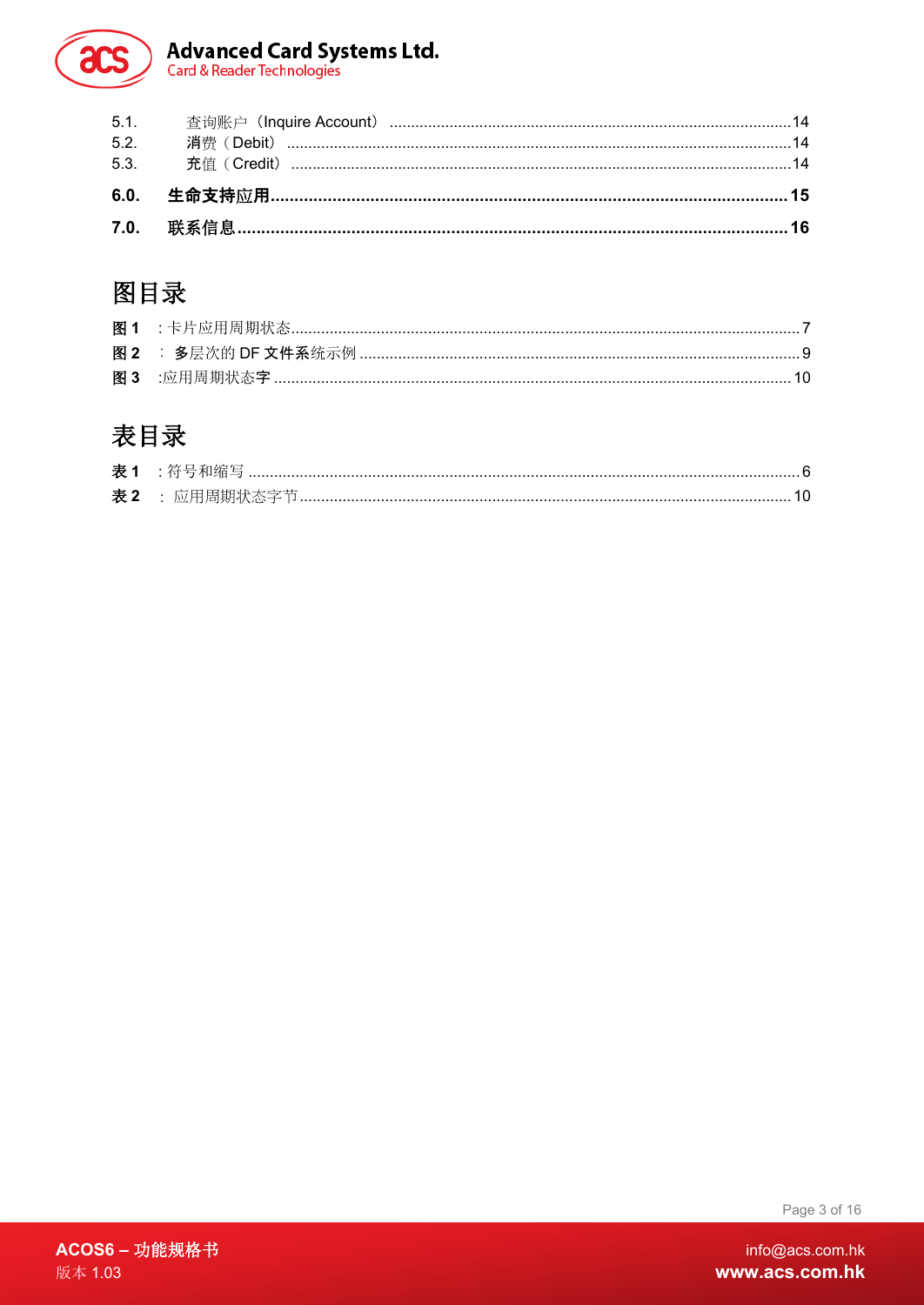# Advanced Card Systems Ltd.<br>Card & Reader Technologies

# 图目录

 $rac{1}{2}$ 

# 表目录

| 表 2 : 应用周期状态字节 |
|----------------|

Page 3 of 16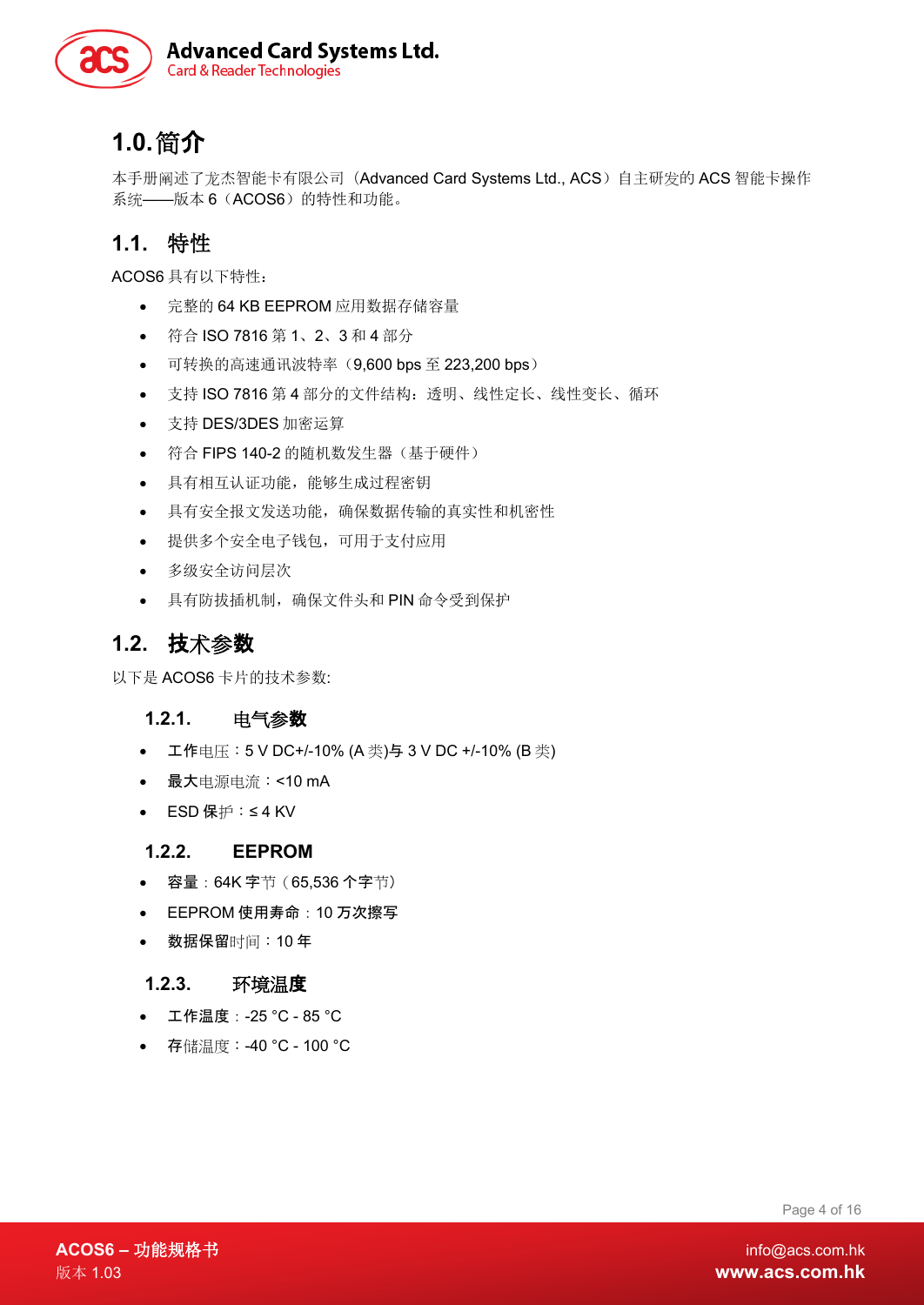

# <span id="page-3-0"></span>**1.0.**简介

本手册阐述了龙杰智能卡有限公司(Advanced Card Systems Ltd., ACS)自主研发的 ACS 智能卡操作 系统——版本 6 (ACOS6) 的特性和功能。

### <span id="page-3-1"></span>**1.1.** 特性

ACOS6 具有以下特性:

- 完整的 64 KB EEPROM 应用数据存储容量
- 符合 ISO 7816 第 1、2、3 和 4 部分
- 可转换的高速通讯波特率(9,600 bps 至 223,200 bps)
- 支持 ISO 7816 第 4 部分的文件结构:透明、线性定长、线性变长、循环
- 支持 DES/3DES 加密运算
- 符合 FIPS 140-2 的随机数发生器(基于硬件)
- 具有相互认证功能,能够生成过程密钥
- 具有安全报文发送功能,确保数据传输的真实性和机密性
- 提供多个安全电子钱包,可用于支付应用
- 多级安全访问层次
- 具有防拔插机制,确保文件头和 PIN 命令受到保护

### <span id="page-3-2"></span>**1.2.** 技术参数

<span id="page-3-3"></span>以下是 ACOS6 卡片的技术参数:

#### **1.2.1.** 电气参数

- 工作电压:5 V DC+/-10% (A 类)与 3 V DC +/-10% (B 类)
- 最大电源电流:<10 mA
- ESD 保护:≤ 4 KV

#### <span id="page-3-4"></span>**1.2.2. EEPROM**

- 容量:64K 字节(65,536 个字节)
- EEPROM 使用寿命:10 万次擦写
- 数据保留时间:10 年

#### <span id="page-3-5"></span>**1.2.3.** 环境温度

- 工作温度:-25 °C 85 °C
- 存储温度:-40 °C 100 °C

Page 4 of 16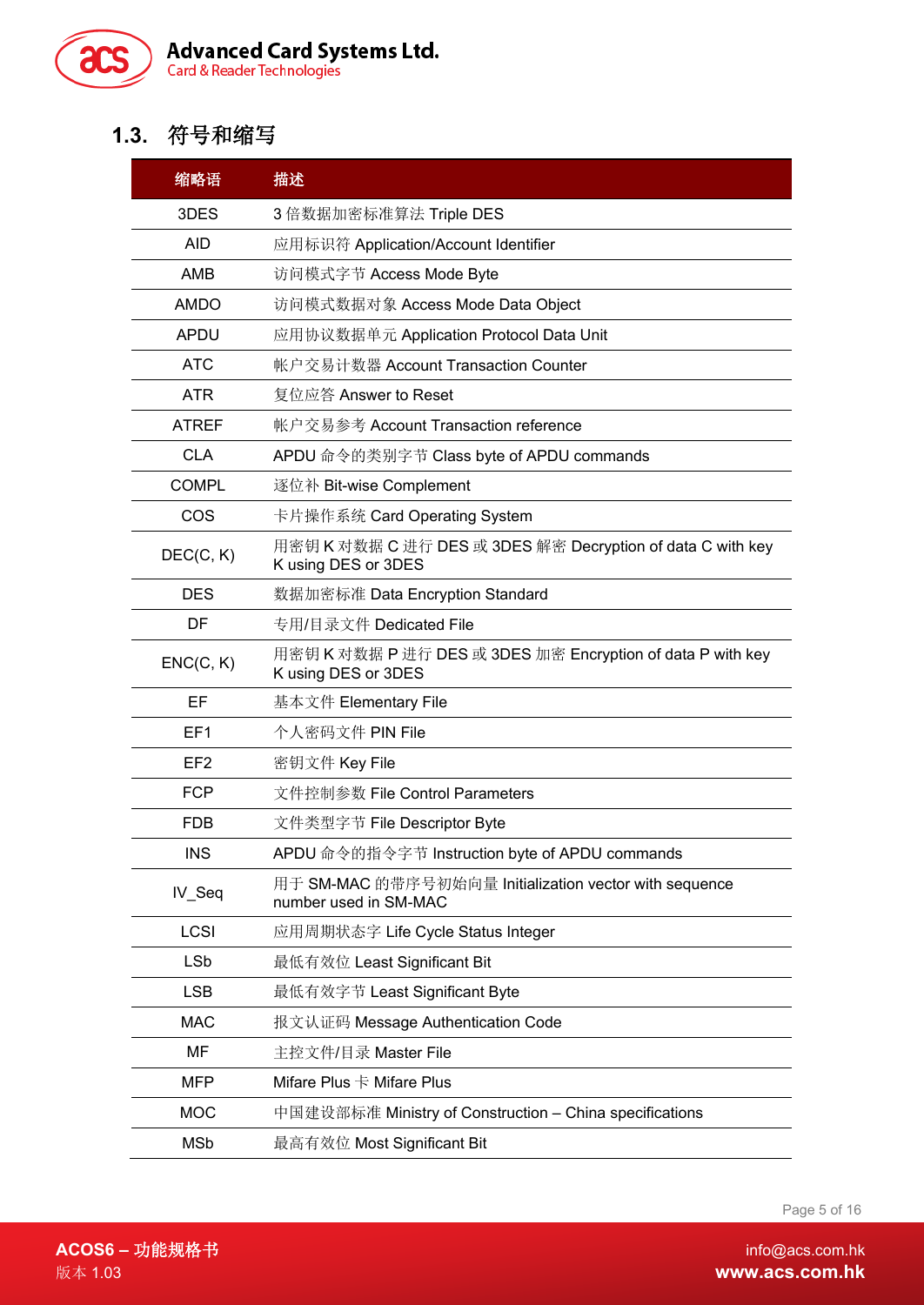

# <span id="page-4-0"></span>**1.3.** 符号和缩写

| 缩略语             | 描述                                                                                |  |  |  |  |  |
|-----------------|-----------------------------------------------------------------------------------|--|--|--|--|--|
| 3DES            | 3 倍数据加密标准算法 Triple DES                                                            |  |  |  |  |  |
| <b>AID</b>      | 应用标识符 Application/Account Identifier                                              |  |  |  |  |  |
| <b>AMB</b>      | 访问模式字节 Access Mode Byte                                                           |  |  |  |  |  |
| <b>AMDO</b>     | 访问模式数据对象 Access Mode Data Object                                                  |  |  |  |  |  |
| <b>APDU</b>     | 应用协议数据单元 Application Protocol Data Unit                                           |  |  |  |  |  |
| <b>ATC</b>      | 帐户交易计数器 Account Transaction Counter                                               |  |  |  |  |  |
| <b>ATR</b>      | 复位应答 Answer to Reset                                                              |  |  |  |  |  |
| <b>ATREF</b>    | 帐户交易参考 Account Transaction reference                                              |  |  |  |  |  |
| <b>CLA</b>      | APDU 命令的类别字节 Class byte of APDU commands                                          |  |  |  |  |  |
| <b>COMPL</b>    | 逐位补 Bit-wise Complement                                                           |  |  |  |  |  |
| COS             | 卡片操作系统 Card Operating System                                                      |  |  |  |  |  |
| DEC(C, K)       | 用密钥 K 对数据 C 进行 DES 或 3DES 解密 Decryption of data C with key<br>K using DES or 3DES |  |  |  |  |  |
| <b>DES</b>      | 数据加密标准 Data Encryption Standard                                                   |  |  |  |  |  |
| DF              | 专用/目录文件 Dedicated File                                                            |  |  |  |  |  |
| ENC(C, K)       | 用密钥 K 对数据 P 进行 DES 或 3DES 加密 Encryption of data P with key<br>K using DES or 3DES |  |  |  |  |  |
| EF              | 基本文件 Elementary File                                                              |  |  |  |  |  |
| EF <sub>1</sub> | 个人密码文件 PIN File                                                                   |  |  |  |  |  |
| EF <sub>2</sub> | 密钥文件 Key File                                                                     |  |  |  |  |  |
| <b>FCP</b>      | 文件控制参数 File Control Parameters                                                    |  |  |  |  |  |
| <b>FDB</b>      | 文件类型字节 File Descriptor Byte                                                       |  |  |  |  |  |
| <b>INS</b>      | APDU 命令的指令字节 Instruction byte of APDU commands                                    |  |  |  |  |  |
| IV_Seq          | 用于 SM-MAC 的带序号初始向量 Initialization vector with sequence<br>number used in SM-MAC   |  |  |  |  |  |
| LCSI            | 应用周期状态字 Life Cycle Status Integer                                                 |  |  |  |  |  |
| <b>LSb</b>      | 最低有效位 Least Significant Bit                                                       |  |  |  |  |  |
| <b>LSB</b>      | 最低有效字节 Least Significant Byte                                                     |  |  |  |  |  |
| <b>MAC</b>      | 报文认证码 Message Authentication Code                                                 |  |  |  |  |  |
| MF              | 主控文件/目录 Master File                                                               |  |  |  |  |  |
| <b>MFP</b>      | Mifare Plus $\dagger$ Mifare Plus                                                 |  |  |  |  |  |
| <b>MOC</b>      | 中国建设部标准 Ministry of Construction – China specifications                           |  |  |  |  |  |
| <b>MSb</b>      | 最高有效位 Most Significant Bit                                                        |  |  |  |  |  |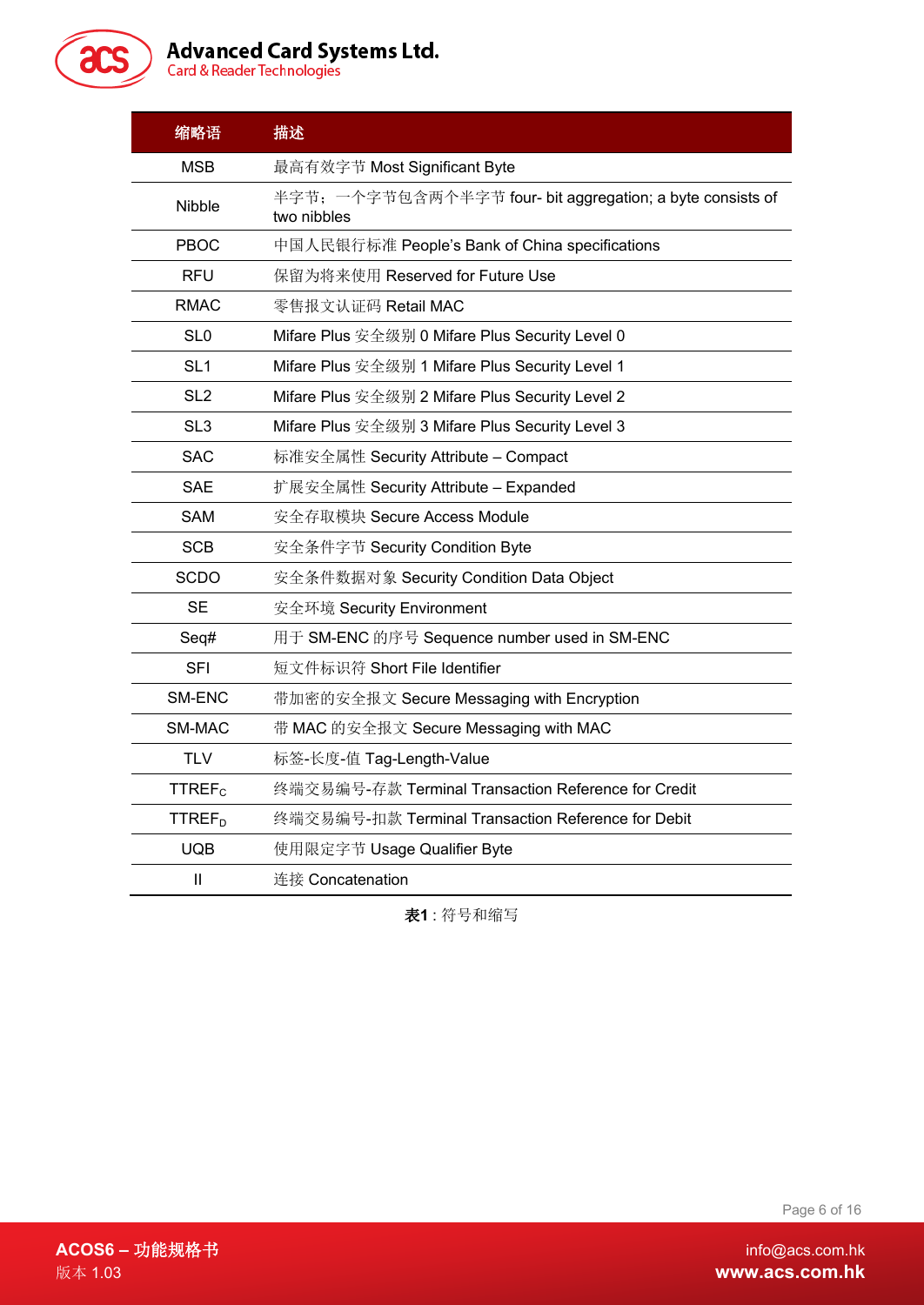

# Advanced Card Systems Ltd.<br>Card & Reader Technologies

| 缩略语                                                                | 描述                                                                        |  |  |  |  |  |
|--------------------------------------------------------------------|---------------------------------------------------------------------------|--|--|--|--|--|
| <b>MSB</b>                                                         | 最高有效字节 Most Significant Byte                                              |  |  |  |  |  |
| <b>Nibble</b>                                                      | 半字节; 一个字节包含两个半字节 four- bit aggregation; a byte consists of<br>two nibbles |  |  |  |  |  |
| PBOC                                                               | 中国人民银行标准 People's Bank of China specifications                            |  |  |  |  |  |
| <b>RFU</b>                                                         | 保留为将来使用 Reserved for Future Use                                           |  |  |  |  |  |
| <b>RMAC</b>                                                        | 零售报文认证码 Retail MAC                                                        |  |  |  |  |  |
| SL <sub>0</sub>                                                    | Mifare Plus 安全级别 0 Mifare Plus Security Level 0                           |  |  |  |  |  |
| SL <sub>1</sub>                                                    | Mifare Plus 安全级别 1 Mifare Plus Security Level 1                           |  |  |  |  |  |
| SL <sub>2</sub><br>Mifare Plus 安全级别 2 Mifare Plus Security Level 2 |                                                                           |  |  |  |  |  |
| SL <sub>3</sub>                                                    | Mifare Plus 安全级别 3 Mifare Plus Security Level 3                           |  |  |  |  |  |
| <b>SAC</b>                                                         | 标准安全属性 Security Attribute – Compact                                       |  |  |  |  |  |
| <b>SAE</b>                                                         | 扩展安全属性 Security Attribute – Expanded                                      |  |  |  |  |  |
| <b>SAM</b>                                                         | 安全存取模块 Secure Access Module                                               |  |  |  |  |  |
| <b>SCB</b>                                                         | 安全条件字节 Security Condition Byte                                            |  |  |  |  |  |
| <b>SCDO</b>                                                        | 安全条件数据对象 Security Condition Data Object                                   |  |  |  |  |  |
| <b>SE</b>                                                          | 安全环境 Security Environment                                                 |  |  |  |  |  |
| Seq#                                                               | 用于 SM-ENC 的序号 Sequence number used in SM-ENC                              |  |  |  |  |  |
| <b>SFI</b>                                                         | 短文件标识符 Short File Identifier                                              |  |  |  |  |  |
| SM-ENC                                                             | 带加密的安全报文 Secure Messaging with Encryption                                 |  |  |  |  |  |
| SM-MAC                                                             | 带 MAC 的安全报文 Secure Messaging with MAC                                     |  |  |  |  |  |
| <b>TLV</b>                                                         | 标签-长度-值 Tag-Length-Value                                                  |  |  |  |  |  |
| <b>TTREF<sub>c</sub></b>                                           | 终端交易编号-存款 Terminal Transaction Reference for Credit                       |  |  |  |  |  |
| <b>TTREF<sub>D</sub></b>                                           | 终端交易编号-扣款 Terminal Transaction Reference for Debit                        |  |  |  |  |  |
| <b>UQB</b><br>使用限定字节 Usage Qualifier Byte                          |                                                                           |  |  |  |  |  |
| Ш                                                                  | 连接 Concatenation                                                          |  |  |  |  |  |

<span id="page-5-0"></span>表**1** : 符号和缩写

Page 6 of 16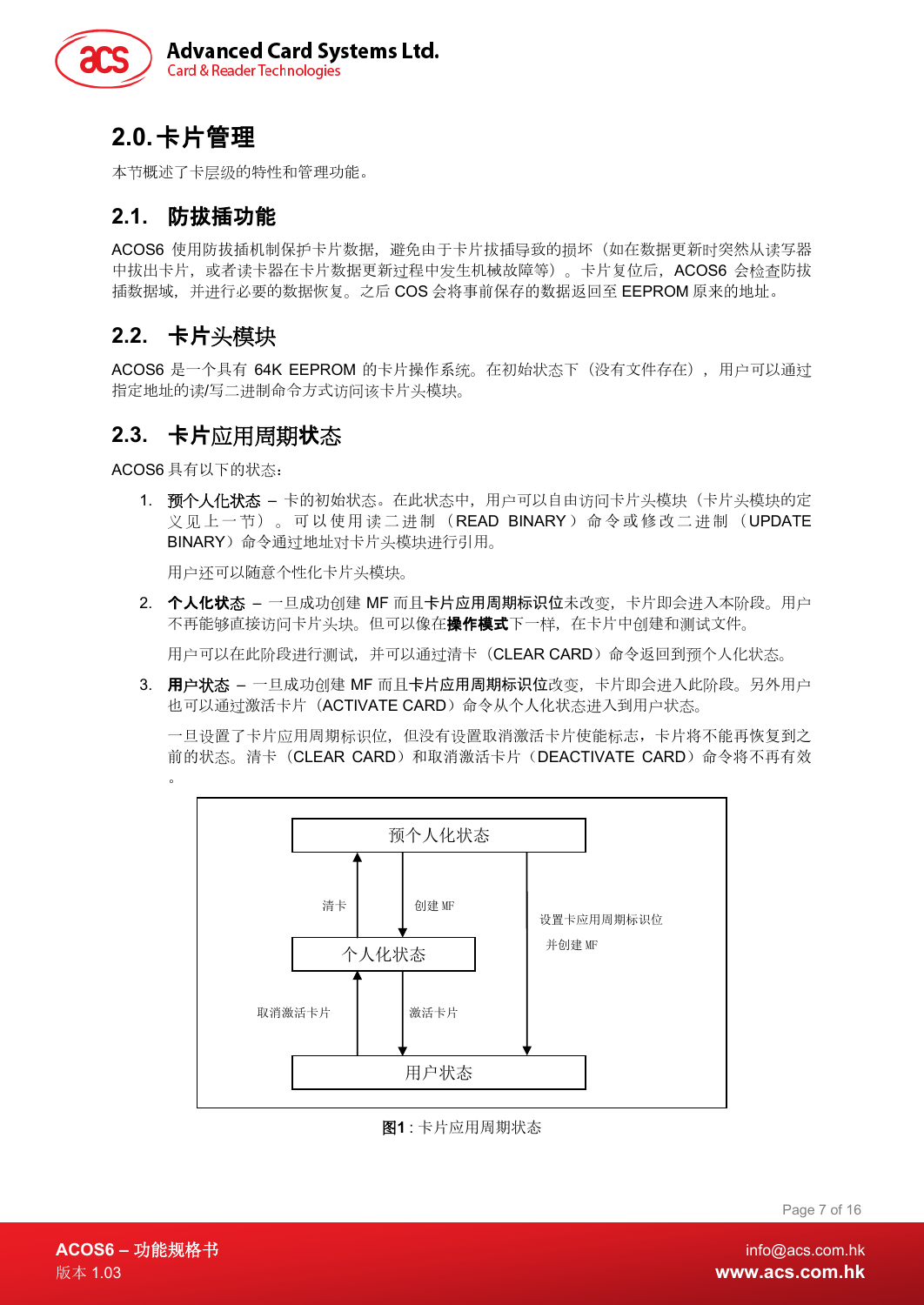

# <span id="page-6-0"></span>**2.0.**卡片管理

本节概述了卡层级的特性和管理功能。

### <span id="page-6-1"></span>**2.1.** 防拔插功能

ACOS6 使用防拔插机制保护卡片数据,避免由于卡片拔插导致的损坏(如在数据更新时突然从读写器 中拔出卡片, 或者读卡器在卡片数据更新过程中发生机械故障等)。卡片复位后, ACOS6 会检查防拔 插数据域,并进行必要的数据恢复。之后 COS 会将事前保存的数据返回至 EEPROM 原来的地址。

### <span id="page-6-2"></span>**2.2.** 卡片头模块

ACOS6 是一个具有 64K EEPROM 的卡片操作系统。在初始状态下(没有文件存在),用户可以通过 指定地址的读/写二进制命令方式访问该卡片头模块。

### <span id="page-6-3"></span>**2.3.** 卡片应用周期状态

ACOS6 具有以下的状态:

。

1. 预个人化状态 - 卡的初始状态。在此状态中,用户可以自由访问卡片头模块(卡片头模块的定 义见上一节)。可以使用读二进制(READ BINARY)命令或修改二进制(UPDATE BINARY)命令通过地址对卡片头模块进行引用。

用户还可以随意个性化卡片头模块。

2. 个人化状态 - 一旦成功创建 MF 而且卡片应用周期标识位未改变, 卡片即会进入本阶段。用户 不再能够直接访问卡片头块。但可以像在**操作模式**下一样, 在卡片中创建和测试文件。

用户可以在此阶段进行测试,并可以通过清卡(CLEAR CARD)命令返回到预个人化状态。

3. 用户状态 - 一旦成功创建 MF 而且卡片应用周期标识位改变, 卡片即会进入此阶段。另外用户 也可以通过激活卡片(ACTIVATE CARD)命令从个人化状态进入到用户状态。

一旦设置了卡片应用周期标识位,但没有设置取消激活卡片使能标志,卡片将不能再恢复到之 前的状态。清卡(CLEAR CARD)和取消激活卡片(DEACTIVATE CARD)命令将不再有效



图**1** : 卡片应用周期状态

Page 7 of 16

<span id="page-6-4"></span>**ACOS6 –** 功能规格书 info@acs.com.hk 版本 1.03 **www.acs.com.hk**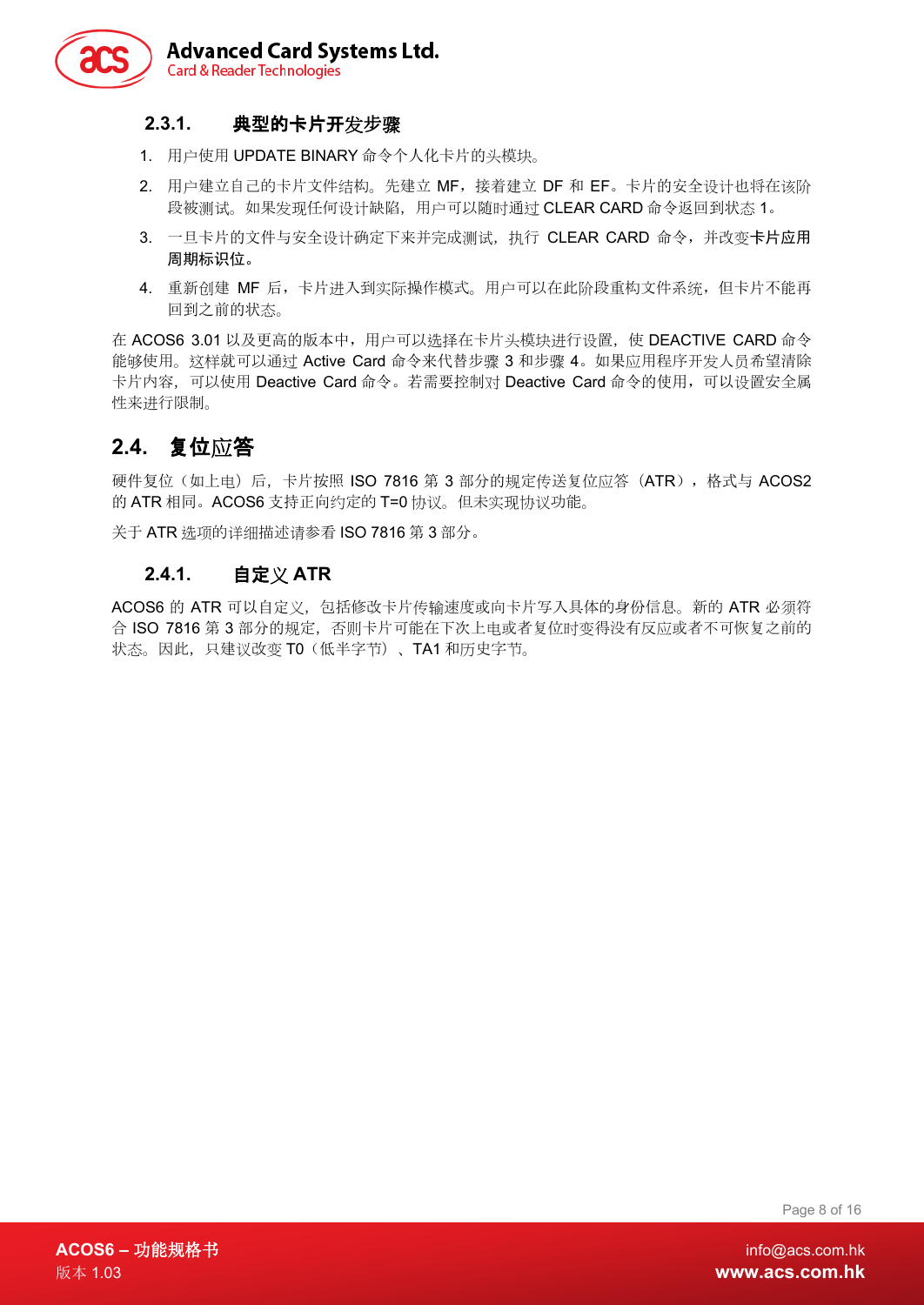

#### <span id="page-7-0"></span>**2.3.1.** 典型的卡片开发步骤

- 1. 用户使用 UPDATE BINARY 命令个人化卡片的头模块。
- 2. 用户建立自己的卡片文件结构。先建立 MF,接着建立 DF 和 EF。卡片的安全设计也将在该阶 段被测试。如果发现任何设计缺陷,用户可以随时通过 CLEAR CARD 命令返回到状态 1。
- 3. 一旦卡片的文件与安全设计确定下来并完成测试,执行 CLEAR CARD 命令,并改变卡片应用 周期标识位。
- 4. 重新创建 MF 后,卡片进入到实际操作模式。用户可以在此阶段重构文件系统,但卡片不能再 回到之前的状态。

在 ACOS6 3.01 以及更高的版本中,用户可以选择在卡片头模块讲行设置,使 DEACTIVE CARD 命令 能够使用。这样就可以通过 Active Card 命令来代替步骤 3 和步骤 4。如果应用程序开发人员希望清除 卡片内容,可以使用 Deactive Card 命令。若需要控制对 Deactive Card 命令的使用,可以设置安全属 性来进行限制。

### <span id="page-7-1"></span>**2.4.** 复位应答

硬件复位(如上电)后,卡片按照 ISO 7816 第 3 部分的规定传送复位应答(ATR),格式与 ACOS2 的 ATR 相同。ACOS6 支持正向约定的 T=0 协议。但未实现协议功能。

<span id="page-7-2"></span>关于 ATR 选项的详细描述请参看 ISO 7816 第 3 部分。

#### **2.4.1.** 自定义 **ATR**

ACOS6 的 ATR 可以自定义,包括修改卡片传输速度或向卡片写入具体的身份信息。新的 ATR 必须符 合 ISO 7816 第 3 部分的规定,否则卡片可能在下次上电或者复位时变得没有反应或者不可恢复之前的 状态。因此, 只建议改变 T0(低半字节)、TA1 和历史字节。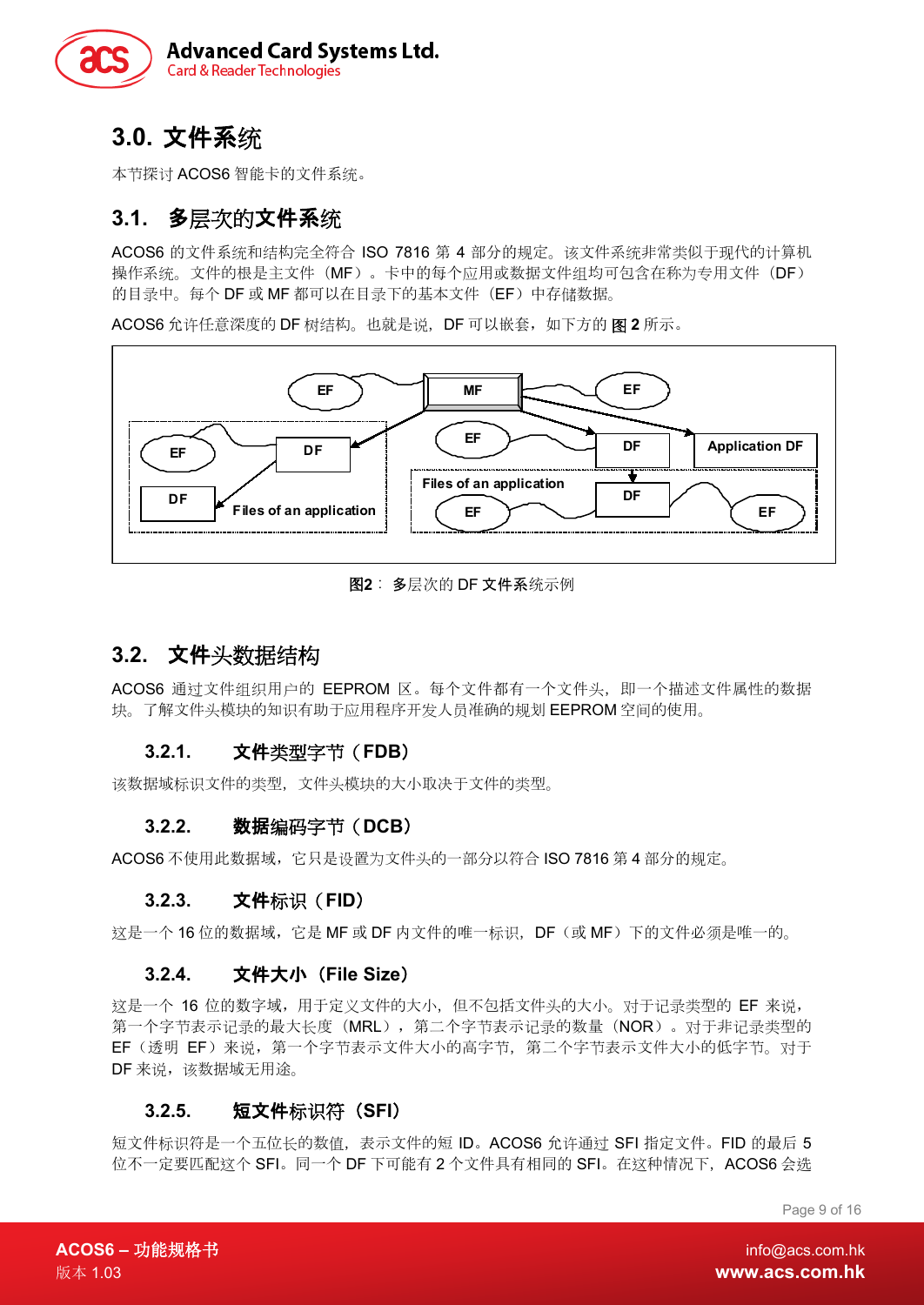

# <span id="page-8-0"></span>**3.0.** 文件系统

本节探讨 ACOS6 智能卡的文件系统。

### <span id="page-8-1"></span>**3.1.** 多层次的文件系统

ACOS6 的文件系统和结构完全符合 ISO 7816 第 4 部分的规定。该文件系统非常类似于现代的计算机 操作系统。文件的根是主文件(MF)。卡中的每个应用或数据文件组均可包含在称为专用文件(DF) 的目录中。每个 DF 或 MF 都可以在目录下的基本文件(EF)中存储数据。

ACOS6 允许任意深度的 DF 树结构。也就是说,DF 可以嵌套,如下方的 图 **2** 所示。



图**2** : 多层次的 DF 文件系统示例

### <span id="page-8-8"></span><span id="page-8-2"></span>**3.2.** 文件头数据结构

ACOS6 通过文件组织用户的 EEPROM 区。每个文件都有一个文件头, 即一个描述文件属性的数据 块。了解文件头模块的知识有助于应用程序开发人员准确的规划 EEPROM 空间的使用。

#### <span id="page-8-3"></span>**3.2.1.** 文件类型字节(**FDB**)

<span id="page-8-4"></span>该数据域标识文件的类型,文件头模块的大小取决于文件的类型。

#### **3.2.2.** 数据编码字节(**DCB**)

<span id="page-8-5"></span>ACOS6 不使用此数据域,它只是设置为文件头的一部分以符合 ISO 7816 第 4 部分的规定。

#### **3.2.3.** 文件标识(**FID**)

<span id="page-8-6"></span>这是一个 16 位的数据域,它是 MF 或 DF 内文件的唯一标识,DF(或 MF)下的文件必须是唯一的。

#### **3.2.4.** 文件大小(**File Size**)

这是一个 16 位的数字域,用于定义文件的大小,但不包括文件头的大小。对于记录类型的 EF 来说, 第一个字节表示记录的最大长度(MRL),第二个字节表示记录的数量(NOR)。对于非记录类型的 EF(透明 EF)来说,第一个字节表示文件大小的高字节,第二个字节表示文件大小的低字节。对于 DF 来说,该数据域无用途。

#### <span id="page-8-7"></span>**3.2.5.** 短文件标识符(**SFI**)

短文件标识符是一个五位长的数值,表示文件的短 ID。ACOS6 允许通过 SFI 指定文件。FID 的最后 5 位不一定要匹配这个 SFI。同一个 DF 下可能有 2 个文件具有相同的 SFI。在这种情况下, ACOS6 会选

Page 9 of 16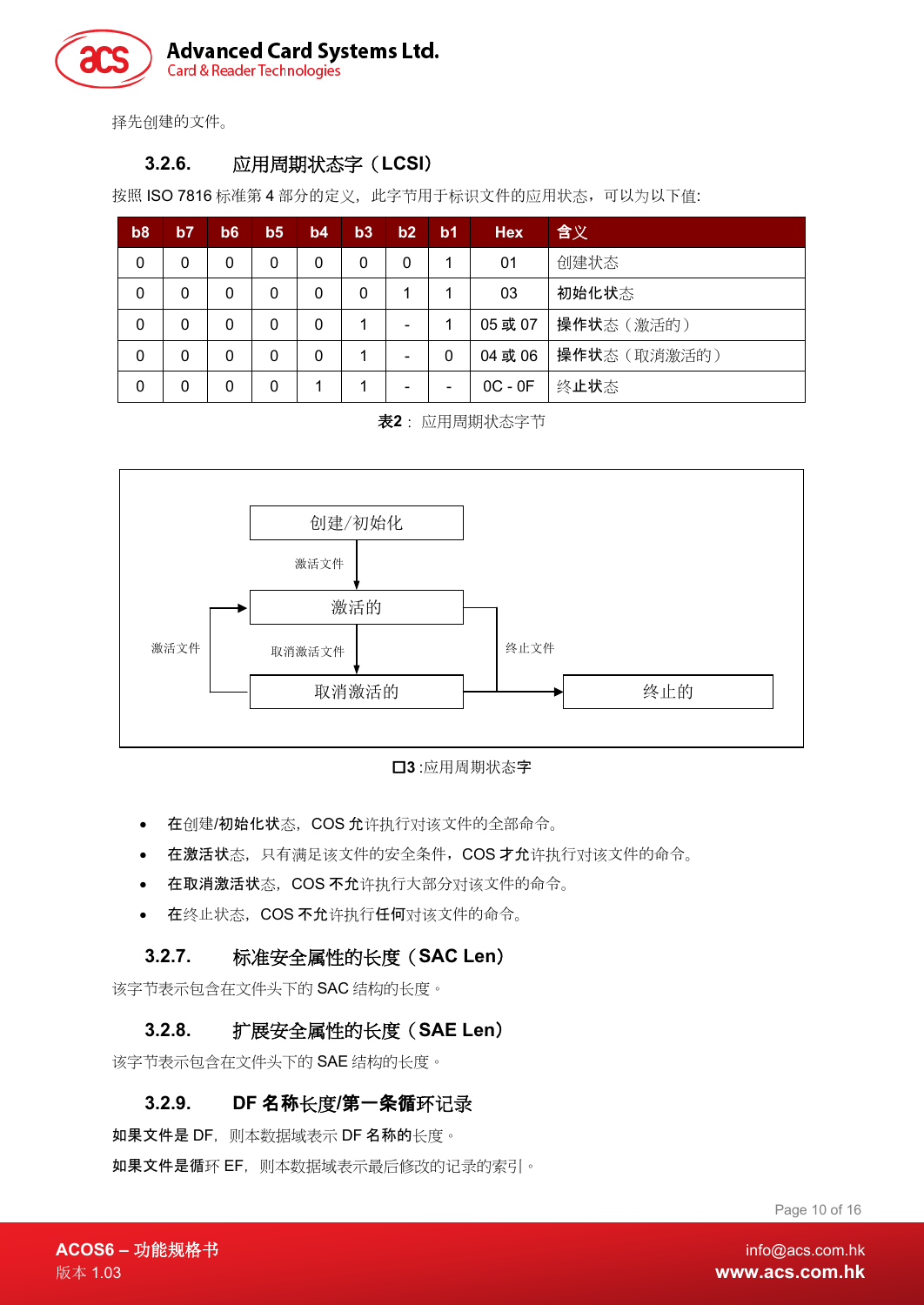

<span id="page-9-0"></span>择先创建的文件。

#### **3.2.6.** 应用周期状态字(**LCSI**)

按照 ISO 7816 标准第 4 部分的定义, 此字节用于标识文件的应用状态, 可以为以下值:

| b <sub>8</sub> | b7 | b6           | b <sub>5</sub> | b4 | b3 | b2                       | b <sub>1</sub> | <b>Hex</b> | 含义           |
|----------------|----|--------------|----------------|----|----|--------------------------|----------------|------------|--------------|
| 0              | 0  | 0            | 0              | 0  | 0  | 0                        | 1              | 01         | 创建状态         |
| 0              | 0  | 0            | 0              | 0  | 0  |                          | 1              | 03         | 初始化状态        |
| 0              | 0  | 0            | 0              | 0  |    |                          |                | 05或07      | 操作状态(激活的)    |
| 0              | 0  | $\mathbf{0}$ | 0              | 0  |    | $\overline{\phantom{0}}$ | 0              | 04 或 06    | 操作状态 (取消激活的) |
| 0              | 0  | 0            | 0              |    |    |                          |                | $OC - OF$  | 终止状态         |

表**2** : 应用周期状态字节

<span id="page-9-5"></span>



- <span id="page-9-4"></span>• 在创建/初始化状态,COS 允许执行对该文件的全部命令。
- 在激活状态,只有满足该文件的安全条件,COS 才允许执行对该文件的命令。
- 在取消激活状态,COS 不允许执行大部分对该文件的命令。
- 在终止状态,COS 不允许执行任何对该文件的命令。

#### <span id="page-9-1"></span>**3.2.7.** 标准安全属性的长度(**SAC Len**)

<span id="page-9-2"></span>该字节表示包含在文件头下的 SAC 结构的长度。

#### **3.2.8.** 扩展安全属性的长度(**SAE Len**)

<span id="page-9-3"></span>该字节表示包含在文件头下的 SAE 结构的长度。

#### **3.2.9. DF** 名称长度**/**第一条循环记录

如果文件是 DF, 则本数据域表示 DF 名称的长度。

如果文件是循环 EF,则本数据域表示最后修改的记录的索引。

Page 10 of 16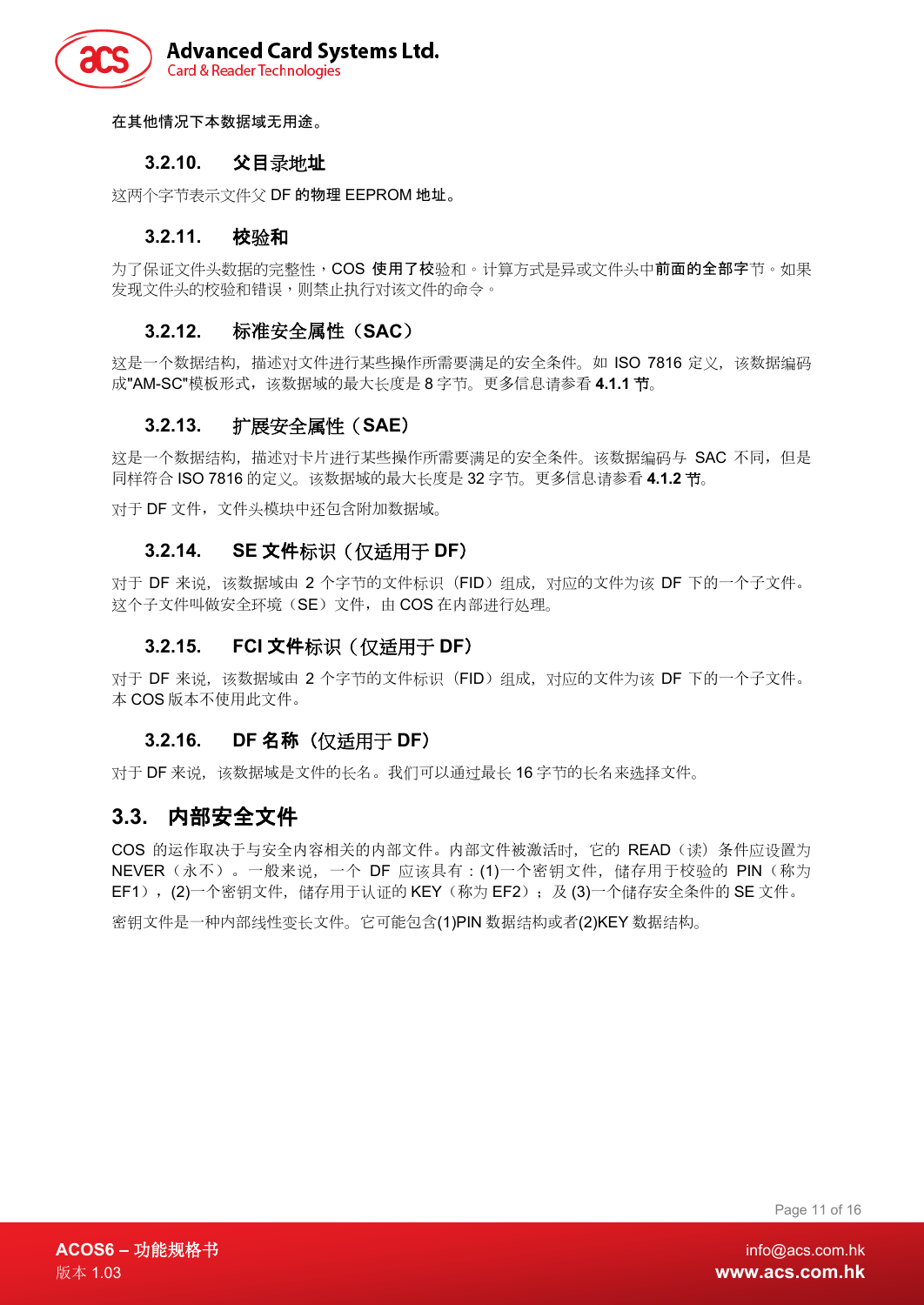

<span id="page-10-0"></span>在其他情况下本数据域无用途。

#### **3.2.10.** 父目录地址

<span id="page-10-1"></span>这两个字节表示文件父 DF 的物理 EEPROM 地址。

#### **3.2.11.** 校验和

为了保证文件头数据的完整性,COS 使用了校验和。计算方式是异或文件头中前面的全部字节。如果 发现文件头的校验和错误,则禁止执行对该文件的命令。

#### <span id="page-10-2"></span>**3.2.12.** 标准安全属性(**SAC**)

这是一个数据结构,描述对文件进行某些操作所需要满足的安全条件。如 ISO 7816 定义,该数据编码 成"AM-SC"模板形式,该数据域的最大长度是 8 字节。更多信息请参看 4.1.1 节。

#### <span id="page-10-3"></span>**3.2.13.** 扩展安全属性(**SAE**)

这是一个数据结构, 描述对卡片进行某些操作所需要满足的安全条件。该数据编码与 SAC 不同, 但是 同样符合 ISO 7816 的定义。该数据域的最大长度是 32 字节。更多信息请参看 **4.1.2** 节。

<span id="page-10-4"></span>对于 DF 文件,文件头模块中还包含附加数据域。

#### **3.2.14. SE** 文件标识(仅适用于 **DF**)

对于 DF 来说, 该数据域由 2 个字节的文件标识 (FID) 组成, 对应的文件为该 DF 下的一个子文件。 这个子文件叫做安全环境(SE)文件,由 COS 在内部进行处理。

#### <span id="page-10-5"></span>**3.2.15. FCI** 文件标识(仅适用于 **DF**)

对于 DF 来说, 该数据域由 2 个字节的文件标识(FID)组成, 对应的文件为该 DF 下的一个子文件。 本 COS 版本不使用此文件。

#### <span id="page-10-6"></span>**3.2.16. DF** 名称(仅适用于 **DF**)

对于 DF 来说,该数据域是文件的长名。我们可以通过最长 16 字节的长名来选择文件。

#### <span id="page-10-7"></span>**3.3.** 内部安全文件

COS 的运作取决于与安全内容相关的内部文件。内部文件被激活时,它的 READ(读)条件应设置为 NEVER(永不)。一般来说, 一个 DF 应该具有: (1)一个密钥文件, 储存用于校验的 PIN(称为 EF1), (2)一个密钥文件, 储存用于认证的 KEY(称为 EF2); 及 (3)一个储存安全条件的 SE 文件。

密钥文件是一种内部线性变长文件。它可能包含(1)PIN 数据结构或者(2)KEY 数据结构。

Page 11 of 16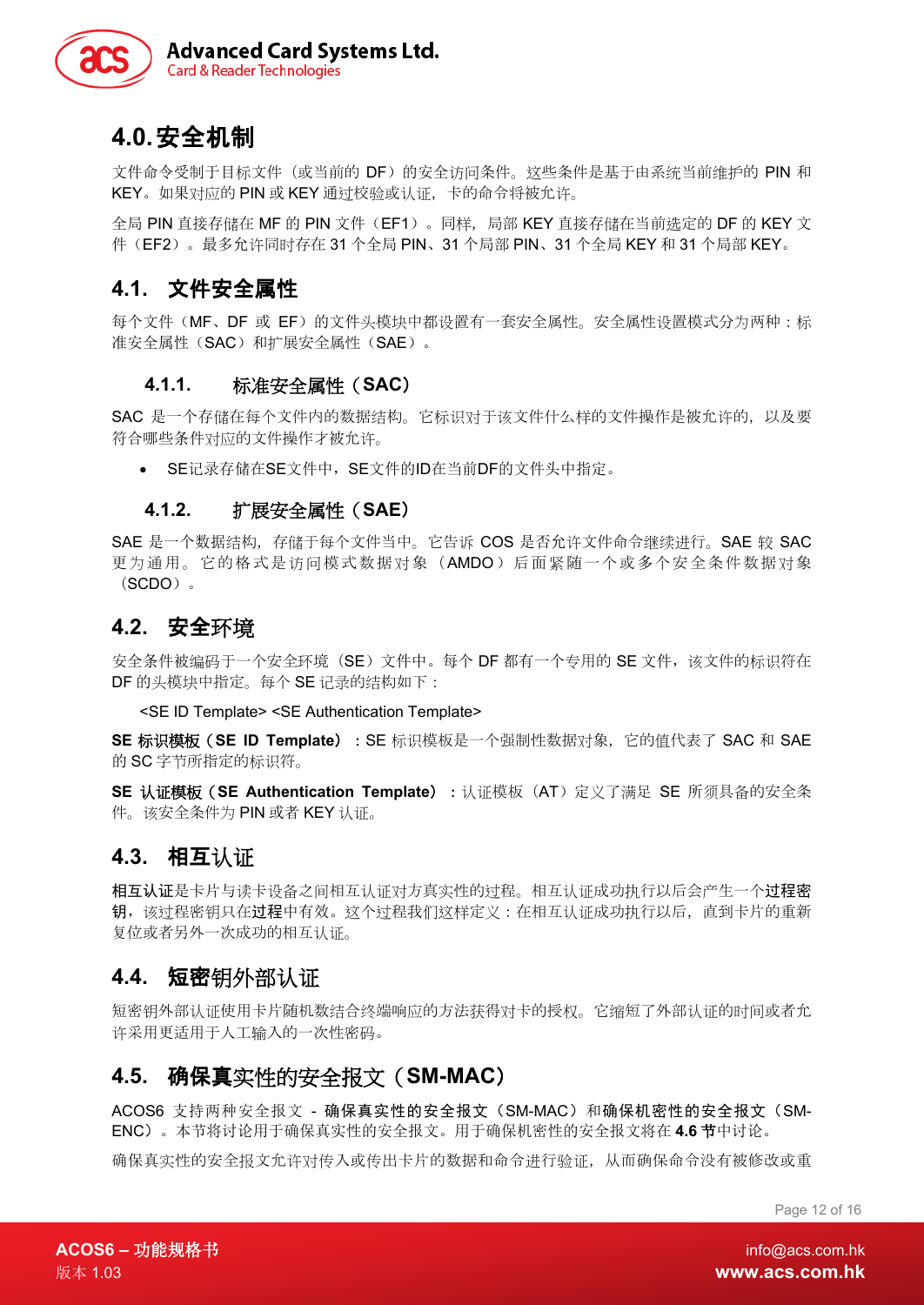

# <span id="page-11-0"></span>**4.0.**安全机制

文件命令受制于目标文件(或当前的 DF)的安全访问条件。这些条件是基于由系统当前维护的 PIN 和 KEY。如果对应的 PIN 或 KEY 通过校验或认证,卡的命令将被允许。

全局 PIN 直接存储在 MF 的 PIN 文件(EF1)。同样,局部 KEY 直接存储在当前选定的 DF 的 KEY 文 件(EF2)。最多允许同时存在 31 个全局 PIN、31 个局部 PIN、31 个全局 KEY 和 31 个局部 KEY。

#### <span id="page-11-1"></span>**4.1.** 文件安全属性

每个文件(MF、DF 或 EF)的文件头模块中都设置有一套安全属性。安全属性设置模式分为两种:标 准安全属性(SAC)和扩展安全属性(SAE)。

#### <span id="page-11-2"></span>**4.1.1.** 标准安全属性(**SAC**)

SAC 是一个存储在每个文件内的数据结构。它标识对于该文件什么样的文件操作是被允许的,以及要 符合哪些条件对应的文件操作才被允许。

<span id="page-11-3"></span>• SE记录存储在SE文件中, SE文件的ID在当前DF的文件头中指定。

#### **4.1.2.** 扩展安全属性(**SAE**)

SAE 是一个数据结构,存储于每个文件当中。它告诉 COS 是否允许文件命令继续进行。SAE 较 SAC 更为通用。它的格式是访问模式数据对象(AMDO)后面紧随一个或多个安全条件数据对象 (SCDO)。

#### <span id="page-11-4"></span>**4.2.** 安全环境

安全条件被编码于一个安全环境(SE)文件中。每个 DF 都有一个专用的 SE 文件,该文件的标识符在 DF 的头模块中指定。每个 SE 记录的结构如下:

<SE ID Template> <SE Authentication Template>

**SE** 标识模板(**SE ID Template**):SE 标识模板是一个强制性数据对象,它的值代表了 SAC 和 SAE 的 SC 字节所指定的标识符。

**SE** 认证模板(**SE Authentication Template**):认证模板(AT)定义了满足 SE 所须具备的安全条 件。该安全条件为 PIN 或者 KEY 认证。

#### <span id="page-11-5"></span>**4.3.** 相互认证

相互认证是卡片与读卡设备之间相互认证对方真实性的过程。相互认证成功执行以后会产生一个过程密 钥,该过程密钥只在过程中有效。这个过程我们这样定义:在相互认证成功执行以后,直到卡片的重新 复位或者另外一次成功的相互认证。

#### <span id="page-11-6"></span>**4.4.** 短密钥外部认证

短密钥外部认证使用卡片随机数结合终端响应的方法获得对卡的授权。它缩短了外部认证的时间或者允 许采用更适用于人工输入的一次性密码。

#### <span id="page-11-7"></span>**4.5.** 确保真实性的安全报文(**SM-MAC**)

ACOS6 支持两种安全报文 - 确保真实性的安全报文(SM-MAC)和确保机密性的安全报文(SM-ENC)。本节将讨论用于确保真实性的安全报文。用于确保机密性的安全报文将在 **4.6** 节中讨论。

确保真实性的安全报文允许对传入或传出卡片的数据和命令进行验证,从而确保命令没有被修改或重

Page 12 of 16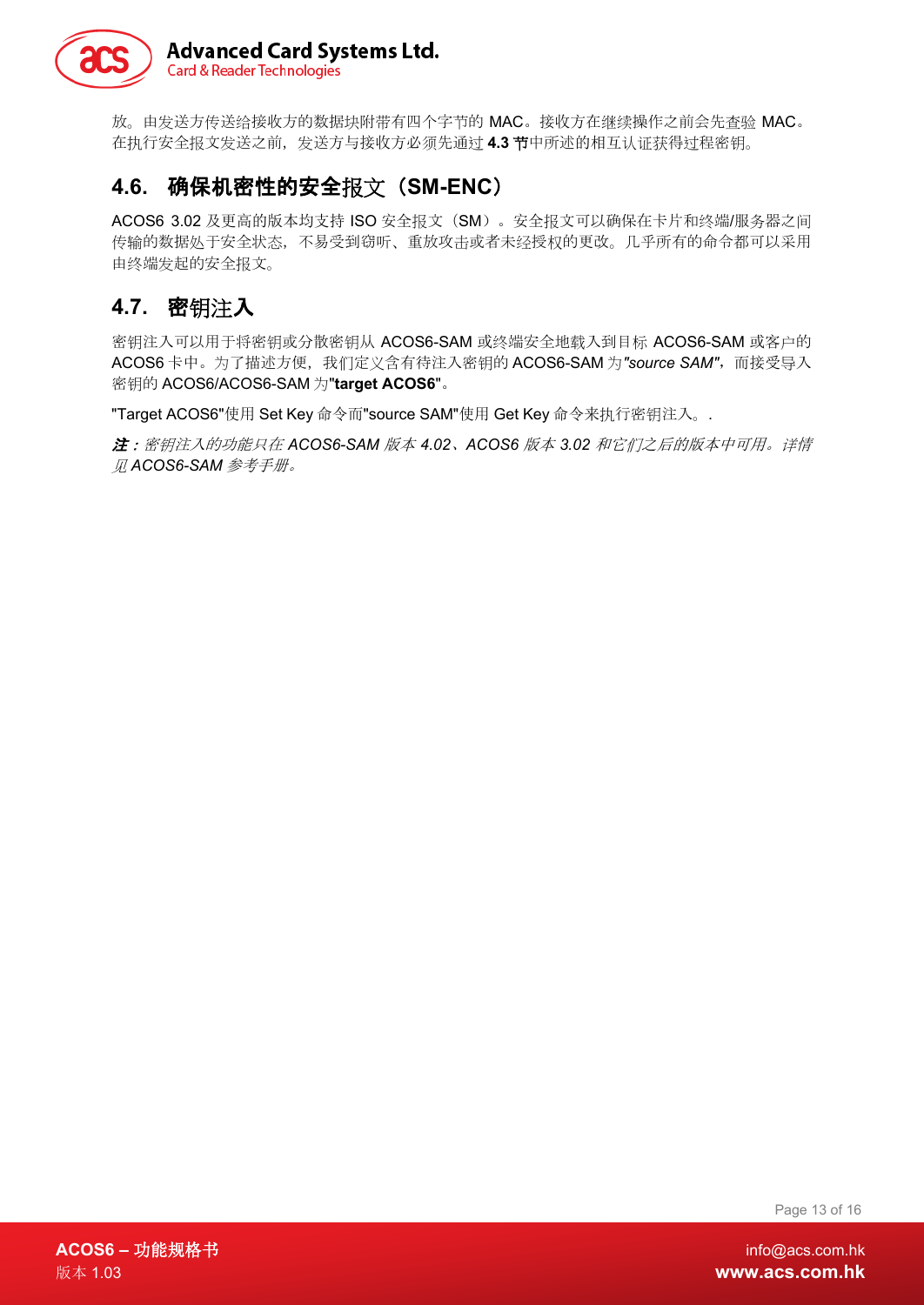

放。由发送方传送给接收方的数据块附带有四个字节的 MAC。接收方在继续操作之前会先查验 MAC。 在执行安全报文发送之前,发送方与接收方必须先通过 **4.3** 节中所述的相互认证获得过程密钥。

### <span id="page-12-0"></span>**4.6.** 确保机密性的安全报文(**SM-ENC**)

ACOS6 3.02 及更高的版本均支持 ISO 安全报文(SM)。安全报文可以确保在卡片和终端/服务器之间 传输的数据处于安全状态,不易受到窃听、重放攻击或者未经授权的更改。几乎所有的命令都可以采用 由终端发起的安全报文。

## <span id="page-12-1"></span>**4.7.** 密钥注入

密钥注入可以用于将密钥或分散密钥从 ACOS6-SAM 或终端安全地载入到目标 ACOS6-SAM 或客户的 ACOS6 卡中。为了描述方便,我们定义含有待注入密钥的 ACOS6-SAM 为"source SAM", 而接受导入 密钥的 ACOS6/ACOS6-SAM 为"**target ACOS6**"。

"Target ACOS6"使用 Set Key 命令而"source SAM"使用 Get Key 命令来执行密钥注入。.

注:密钥注入的功能只在 *ACOS6-SAM* 版本 *4.02*、*ACOS6* 版本 *3.02* 和它们之后的版本中可用。详情 见 *ACOS6-SAM* 参考手册。

Page 13 of 16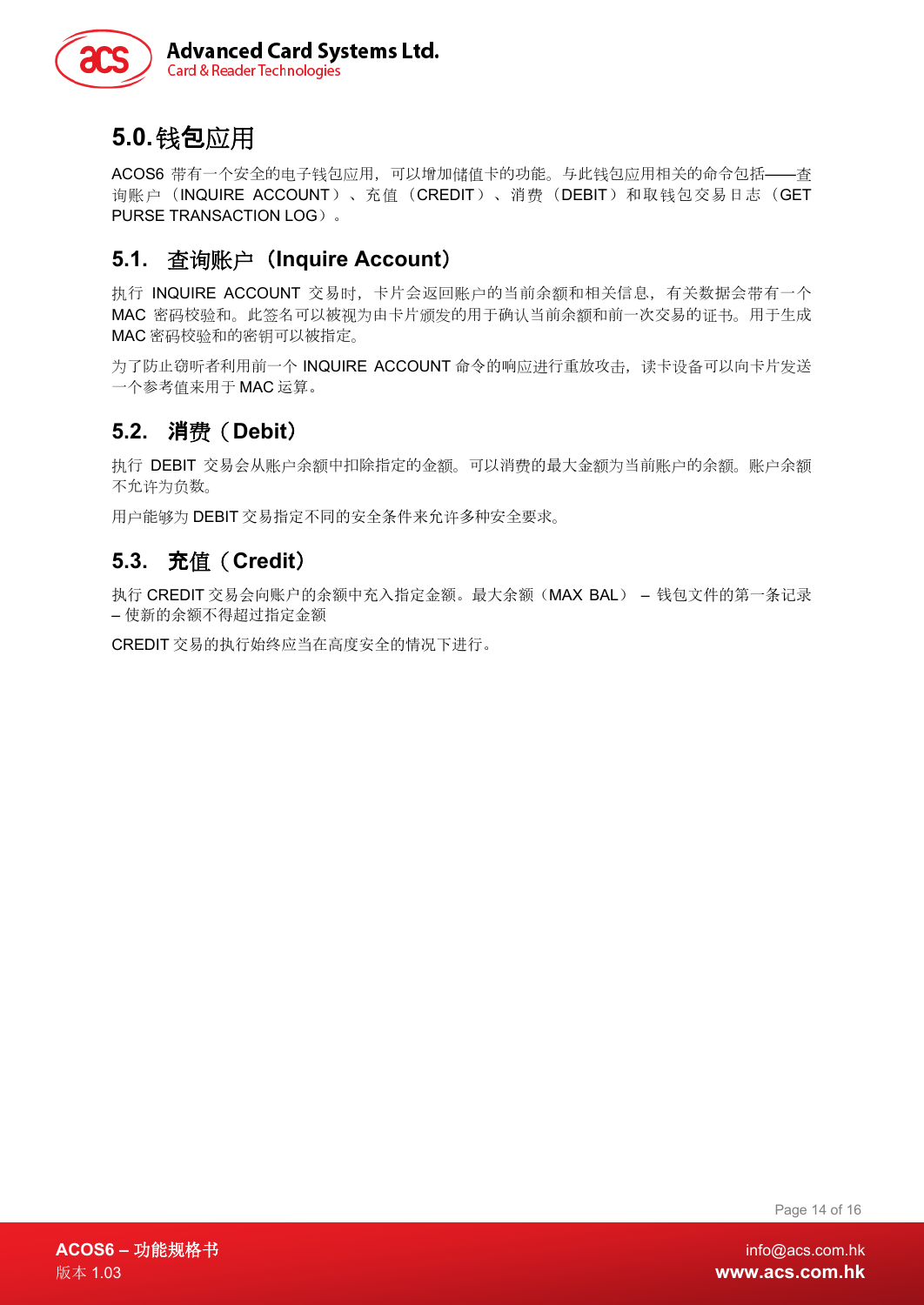

# <span id="page-13-0"></span>**5.0.**钱包应用

ACOS6 带有一个安全的电子钱包应用, 可以增加储值卡的功能。与此钱包应用相关的命令包括——查 询账户(INQUIRE ACCOUNT)、充值(CREDIT)、消费(DEBIT)和取钱包交易日志(GET PURSE TRANSACTION LOG)。

### <span id="page-13-1"></span>**5.1.** 查询账户(**Inquire Account**)

执行 INQUIRE ACCOUNT 交易时,卡片会返回账户的当前余额和相关信息,有关数据会带有一个 MAC 密码校验和。此签名可以被视为由卡片颁发的用于确认当前余额和前一次交易的证书。用于生成 MAC 密码校验和的密钥可以被指定。

为了防止窃听者利用前一个 INQUIRE ACCOUNT 命令的响应进行重放攻击, 读卡设备可以向卡片发送 一个参考值来用于 MAC 运算。

## <span id="page-13-2"></span>**5.2.** 消费(**Debit**)

执行 DEBIT 交易会从账户余额中扣除指定的金额。可以消费的最大金额为当前账户的余额。账户余额 不允许为负数。

用户能够为 DEBIT 交易指定不同的安全条件来允许多种安全要求。

### <span id="page-13-3"></span>**5.3.** 充值(**Credit**)

执行 CREDIT 交易会向账户的余额中充入指定金额。最大余额(MAX BAL) – 钱包文件的第一条记录 – 使新的余额不得超过指定金额

CREDIT 交易的执行始终应当在高度安全的情况下进行。

Page 14 of 16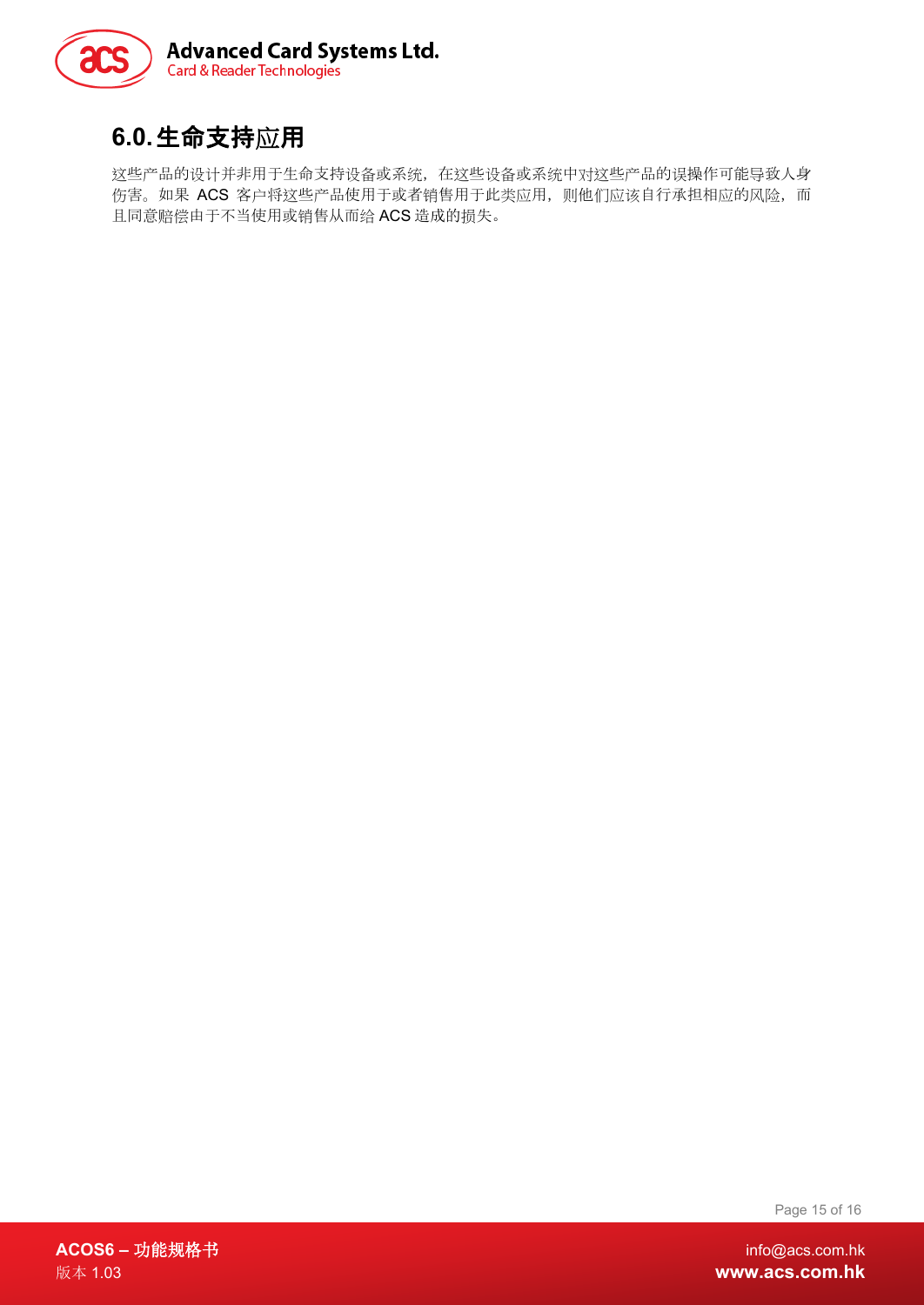

# <span id="page-14-0"></span>**6.0.**生命支持应用

这些产品的设计并非用于生命支持设备或系统,在这些设备或系统中对这些产品的误操作可能导致人身 伤害。如果 ACS 客户将这些产品使用于或者销售用于此类应用, 则他们应该自行承担相应的风险, 而 且同意赔偿由于不当使用或销售从而给 ACS 造成的损失。

Page 15 of 16

**ACOS6 –** 功能规格书 info@acs.com.hk 版本 1.03 **www.acs.com.hk**